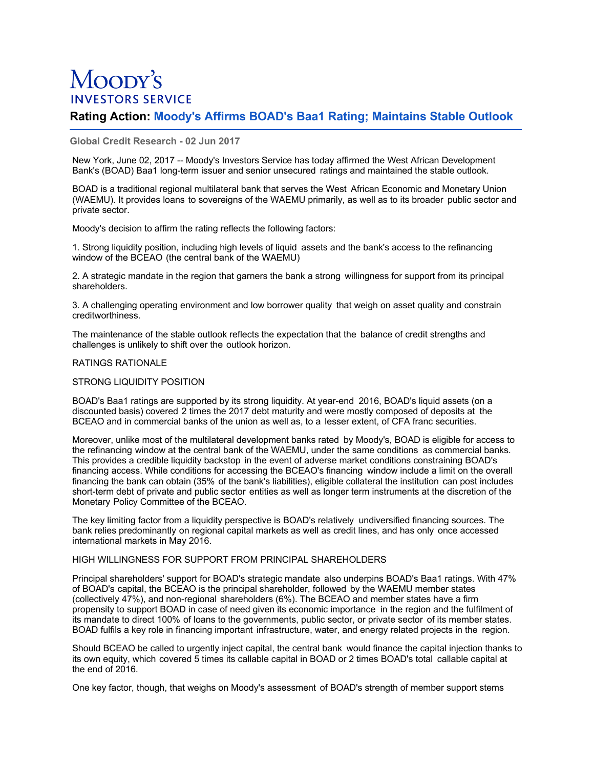# Moopy's **INVESTORS SERVICE**

# **Rating Action: Moody's Affirms BOAD's Baa1 Rating; Maintains Stable Outlook**

# **Global Credit Research - 02 Jun 2017**

New York, June 02, 2017 -- Moody's Investors Service has today affirmed the West African Development Bank's (BOAD) Baa1 long-term issuer and senior unsecured ratings and maintained the stable outlook.

BOAD is a traditional regional multilateral bank that serves the West African Economic and Monetary Union (WAEMU). It provides loans to sovereigns of the WAEMU primarily, as well as to its broader public sector and private sector.

Moody's decision to affirm the rating reflects the following factors:

1. Strong liquidity position, including high levels of liquid assets and the bank's access to the refinancing window of the BCEAO (the central bank of the WAEMU)

2. A strategic mandate in the region that garners the bank a strong willingness for support from its principal shareholders.

3. A challenging operating environment and low borrower quality that weigh on asset quality and constrain creditworthiness.

The maintenance of the stable outlook reflects the expectation that the balance of credit strengths and challenges is unlikely to shift over the outlook horizon.

# RATINGS RATIONALE

#### STRONG LIQUIDITY POSITION

BOAD's Baa1 ratings are supported by its strong liquidity. At year-end 2016, BOAD's liquid assets (on a discounted basis) covered 2 times the 2017 debt maturity and were mostly composed of deposits at the BCEAO and in commercial banks of the union as well as, to a lesser extent, of CFA franc securities.

Moreover, unlike most of the multilateral development banks rated by Moody's, BOAD is eligible for access to the refinancing window at the central bank of the WAEMU, under the same conditions as commercial banks. This provides a credible liquidity backstop in the event of adverse market conditions constraining BOAD's financing access. While conditions for accessing the BCEAO's financing window include a limit on the overall financing the bank can obtain (35% of the bank's liabilities), eligible collateral the institution can post includes short-term debt of private and public sector entities as well as longer term instruments at the discretion of the Monetary Policy Committee of the BCEAO.

The key limiting factor from a liquidity perspective is BOAD's relatively undiversified financing sources. The bank relies predominantly on regional capital markets as well as credit lines, and has only once accessed international markets in May 2016.

#### HIGH WILLINGNESS FOR SUPPORT FROM PRINCIPAL SHAREHOLDERS

Principal shareholders' support for BOAD's strategic mandate also underpins BOAD's Baa1 ratings. With 47% of BOAD's capital, the BCEAO is the principal shareholder, followed by the WAEMU member states (collectively 47%), and non-regional shareholders (6%). The BCEAO and member states have a firm propensity to support BOAD in case of need given its economic importance in the region and the fulfilment of its mandate to direct 100% of loans to the governments, public sector, or private sector of its member states. BOAD fulfils a key role in financing important infrastructure, water, and energy related projects in the region.

Should BCEAO be called to urgently inject capital, the central bank would finance the capital injection thanks to its own equity, which covered 5 times its callable capital in BOAD or 2 times BOAD's total callable capital at the end of 2016.

One key factor, though, that weighs on Moody's assessment of BOAD's strength of member support stems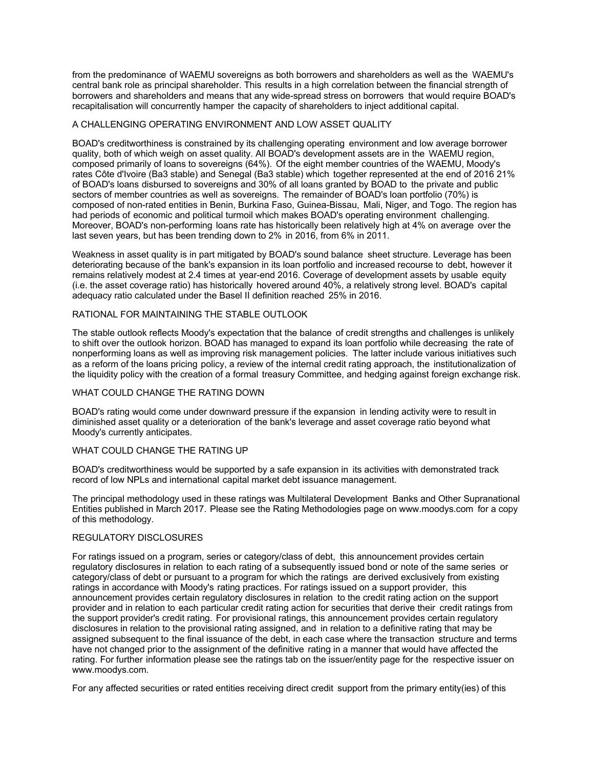from the predominance of WAEMU sovereigns as both borrowers and shareholders as well as the WAEMU's central bank role as principal shareholder. This results in a high correlation between the financial strength of borrowers and shareholders and means that any wide-spread stress on borrowers that would require BOAD's recapitalisation will concurrently hamper the capacity of shareholders to inject additional capital.

# A CHALLENGING OPERATING ENVIRONMENT AND LOW ASSET QUALITY

BOAD's creditworthiness is constrained by its challenging operating environment and low average borrower quality, both of which weigh on asset quality. All BOAD's development assets are in the WAEMU region, composed primarily of loans to sovereigns (64%). Of the eight member countries of the WAEMU, Moody's rates Côte d'Ivoire (Ba3 stable) and Senegal (Ba3 stable) which together represented at the end of 2016 21% of BOAD's loans disbursed to sovereigns and 30% of all loans granted by BOAD to the private and public sectors of member countries as well as sovereigns. The remainder of BOAD's loan portfolio (70%) is composed of non-rated entities in Benin, Burkina Faso, Guinea-Bissau, Mali, Niger, and Togo. The region has had periods of economic and political turmoil which makes BOAD's operating environment challenging. Moreover, BOAD's non-performing loans rate has historically been relatively high at 4% on average over the last seven years, but has been trending down to 2% in 2016, from 6% in 2011.

Weakness in asset quality is in part mitigated by BOAD's sound balance sheet structure. Leverage has been deteriorating because of the bank's expansion in its loan portfolio and increased recourse to debt, however it remains relatively modest at 2.4 times at year-end 2016. Coverage of development assets by usable equity (i.e. the asset coverage ratio) has historically hovered around 40%, a relatively strong level. BOAD's capital adequacy ratio calculated under the Basel II definition reached 25% in 2016.

# RATIONAL FOR MAINTAINING THE STABLE OUTLOOK

The stable outlook reflects Moody's expectation that the balance of credit strengths and challenges is unlikely to shift over the outlook horizon. BOAD has managed to expand its loan portfolio while decreasing the rate of nonperforming loans as well as improving risk management policies. The latter include various initiatives such as a reform of the loans pricing policy, a review of the internal credit rating approach, the institutionalization of the liquidity policy with the creation of a formal treasury Committee, and hedging against foreign exchange risk.

### WHAT COULD CHANGE THE RATING DOWN

BOAD's rating would come under downward pressure if the expansion in lending activity were to result in diminished asset quality or a deterioration of the bank's leverage and asset coverage ratio beyond what Moody's currently anticipates.

### WHAT COULD CHANGE THE RATING UP

BOAD's creditworthiness would be supported by a safe expansion in its activities with demonstrated track record of low NPLs and international capital market debt issuance management.

The principal methodology used in these ratings was Multilateral Development Banks and Other Supranational Entities published in March 2017. Please see the Rating Methodologies page on www.moodys.com for a copy of this methodology.

### REGULATORY DISCLOSURES

For ratings issued on a program, series or category/class of debt, this announcement provides certain regulatory disclosures in relation to each rating of a subsequently issued bond or note of the same series or category/class of debt or pursuant to a program for which the ratings are derived exclusively from existing ratings in accordance with Moody's rating practices. For ratings issued on a support provider, this announcement provides certain regulatory disclosures in relation to the credit rating action on the support provider and in relation to each particular credit rating action for securities that derive their credit ratings from the support provider's credit rating. For provisional ratings, this announcement provides certain regulatory disclosures in relation to the provisional rating assigned, and in relation to a definitive rating that may be assigned subsequent to the final issuance of the debt, in each case where the transaction structure and terms have not changed prior to the assignment of the definitive rating in a manner that would have affected the rating. For further information please see the ratings tab on the issuer/entity page for the respective issuer on www.moodys.com.

For any affected securities or rated entities receiving direct credit support from the primary entity(ies) of this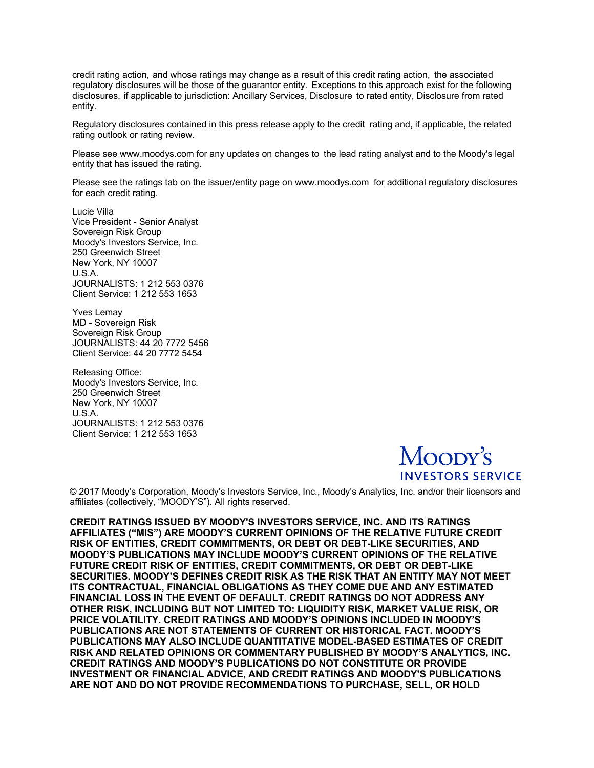credit rating action, and whose ratings may change as a result of this credit rating action, the associated regulatory disclosures will be those of the guarantor entity. Exceptions to this approach exist for the following disclosures, if applicable to jurisdiction: Ancillary Services, Disclosure to rated entity, Disclosure from rated entity.

Regulatory disclosures contained in this press release apply to the credit rating and, if applicable, the related rating outlook or rating review.

Please see www.moodys.com for any updates on changes to the lead rating analyst and to the Moody's legal entity that has issued the rating.

Please see the ratings tab on the issuer/entity page on www.moodys.com for additional regulatory disclosures for each credit rating.

Lucie Villa Vice President - Senior Analyst Sovereign Risk Group Moody's Investors Service, Inc. 250 Greenwich Street New York, NY 10007 U.S.A. JOURNALISTS: 1 212 553 0376 Client Service: 1 212 553 1653

Yves Lemay MD - Sovereign Risk Sovereign Risk Group JOURNALISTS: 44 20 7772 5456 Client Service: 44 20 7772 5454

Releasing Office: Moody's Investors Service, Inc. 250 Greenwich Street New York, NY 10007 U.S.A. JOURNALISTS: 1 212 553 0376 Client Service: 1 212 553 1653



© 2017 Moody's Corporation, Moody's Investors Service, Inc., Moody's Analytics, Inc. and/or their licensors and affiliates (collectively, "MOODY'S"). All rights reserved.

**CREDIT RATINGS ISSUED BY MOODY'S INVESTORS SERVICE, INC. AND ITS RATINGS AFFILIATES ("MIS") ARE MOODY'S CURRENT OPINIONS OF THE RELATIVE FUTURE CREDIT RISK OF ENTITIES, CREDIT COMMITMENTS, OR DEBT OR DEBT-LIKE SECURITIES, AND MOODY'S PUBLICATIONS MAY INCLUDE MOODY'S CURRENT OPINIONS OF THE RELATIVE FUTURE CREDIT RISK OF ENTITIES, CREDIT COMMITMENTS, OR DEBT OR DEBT-LIKE SECURITIES. MOODY'S DEFINES CREDIT RISK AS THE RISK THAT AN ENTITY MAY NOT MEET ITS CONTRACTUAL, FINANCIAL OBLIGATIONS AS THEY COME DUE AND ANY ESTIMATED FINANCIAL LOSS IN THE EVENT OF DEFAULT. CREDIT RATINGS DO NOT ADDRESS ANY OTHER RISK, INCLUDING BUT NOT LIMITED TO: LIQUIDITY RISK, MARKET VALUE RISK, OR PRICE VOLATILITY. CREDIT RATINGS AND MOODY'S OPINIONS INCLUDED IN MOODY'S PUBLICATIONS ARE NOT STATEMENTS OF CURRENT OR HISTORICAL FACT. MOODY'S PUBLICATIONS MAY ALSO INCLUDE QUANTITATIVE MODEL-BASED ESTIMATES OF CREDIT RISK AND RELATED OPINIONS OR COMMENTARY PUBLISHED BY MOODY'S ANALYTICS, INC. CREDIT RATINGS AND MOODY'S PUBLICATIONS DO NOT CONSTITUTE OR PROVIDE INVESTMENT OR FINANCIAL ADVICE, AND CREDIT RATINGS AND MOODY'S PUBLICATIONS ARE NOT AND DO NOT PROVIDE RECOMMENDATIONS TO PURCHASE, SELL, OR HOLD**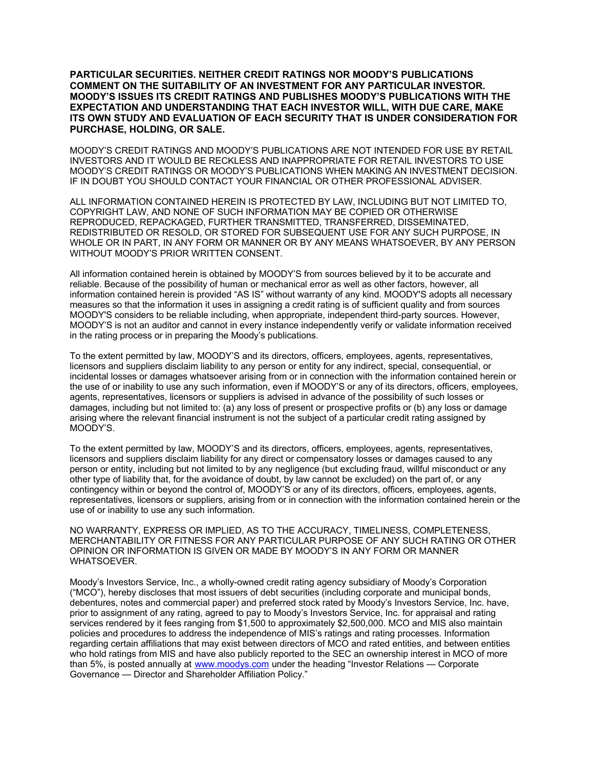**PARTICULAR SECURITIES. NEITHER CREDIT RATINGS NOR MOODY'S PUBLICATIONS COMMENT ON THE SUITABILITY OF AN INVESTMENT FOR ANY PARTICULAR INVESTOR. MOODY'S ISSUES ITS CREDIT RATINGS AND PUBLISHES MOODY'S PUBLICATIONS WITH THE EXPECTATION AND UNDERSTANDING THAT EACH INVESTOR WILL, WITH DUE CARE, MAKE ITS OWN STUDY AND EVALUATION OF EACH SECURITY THAT IS UNDER CONSIDERATION FOR PURCHASE, HOLDING, OR SALE.**

MOODY'S CREDIT RATINGS AND MOODY'S PUBLICATIONS ARE NOT INTENDED FOR USE BY RETAIL INVESTORS AND IT WOULD BE RECKLESS AND INAPPROPRIATE FOR RETAIL INVESTORS TO USE MOODY'S CREDIT RATINGS OR MOODY'S PUBLICATIONS WHEN MAKING AN INVESTMENT DECISION. IF IN DOUBT YOU SHOULD CONTACT YOUR FINANCIAL OR OTHER PROFESSIONAL ADVISER.

ALL INFORMATION CONTAINED HEREIN IS PROTECTED BY LAW, INCLUDING BUT NOT LIMITED TO, COPYRIGHT LAW, AND NONE OF SUCH INFORMATION MAY BE COPIED OR OTHERWISE REPRODUCED, REPACKAGED, FURTHER TRANSMITTED, TRANSFERRED, DISSEMINATED, REDISTRIBUTED OR RESOLD, OR STORED FOR SUBSEQUENT USE FOR ANY SUCH PURPOSE, IN WHOLE OR IN PART, IN ANY FORM OR MANNER OR BY ANY MEANS WHATSOEVER, BY ANY PERSON WITHOUT MOODY'S PRIOR WRITTEN CONSENT.

All information contained herein is obtained by MOODY'S from sources believed by it to be accurate and reliable. Because of the possibility of human or mechanical error as well as other factors, however, all information contained herein is provided "AS IS" without warranty of any kind. MOODY'S adopts all necessary measures so that the information it uses in assigning a credit rating is of sufficient quality and from sources MOODY'S considers to be reliable including, when appropriate, independent third-party sources. However, MOODY'S is not an auditor and cannot in every instance independently verify or validate information received in the rating process or in preparing the Moody's publications.

To the extent permitted by law, MOODY'S and its directors, officers, employees, agents, representatives, licensors and suppliers disclaim liability to any person or entity for any indirect, special, consequential, or incidental losses or damages whatsoever arising from or in connection with the information contained herein or the use of or inability to use any such information, even if MOODY'S or any of its directors, officers, employees, agents, representatives, licensors or suppliers is advised in advance of the possibility of such losses or damages, including but not limited to: (a) any loss of present or prospective profits or (b) any loss or damage arising where the relevant financial instrument is not the subject of a particular credit rating assigned by MOODY'S.

To the extent permitted by law, MOODY'S and its directors, officers, employees, agents, representatives, licensors and suppliers disclaim liability for any direct or compensatory losses or damages caused to any person or entity, including but not limited to by any negligence (but excluding fraud, willful misconduct or any other type of liability that, for the avoidance of doubt, by law cannot be excluded) on the part of, or any contingency within or beyond the control of, MOODY'S or any of its directors, officers, employees, agents, representatives, licensors or suppliers, arising from or in connection with the information contained herein or the use of or inability to use any such information.

NO WARRANTY, EXPRESS OR IMPLIED, AS TO THE ACCURACY, TIMELINESS, COMPLETENESS, MERCHANTABILITY OR FITNESS FOR ANY PARTICULAR PURPOSE OF ANY SUCH RATING OR OTHER OPINION OR INFORMATION IS GIVEN OR MADE BY MOODY'S IN ANY FORM OR MANNER WHATSOEVER.

Moody's Investors Service, Inc., a wholly-owned credit rating agency subsidiary of Moody's Corporation ("MCO"), hereby discloses that most issuers of debt securities (including corporate and municipal bonds, debentures, notes and commercial paper) and preferred stock rated by Moody's Investors Service, Inc. have, prior to assignment of any rating, agreed to pay to Moody's Investors Service, Inc. for appraisal and rating services rendered by it fees ranging from \$1,500 to approximately \$2,500,000. MCO and MIS also maintain policies and procedures to address the independence of MIS's ratings and rating processes. Information regarding certain affiliations that may exist between directors of MCO and rated entities, and between entities who hold ratings from MIS and have also publicly reported to the SEC an ownership interest in MCO of more than 5%, is posted annually at [www.moodys.com](https://www.moodys.com/) under the heading "Investor Relations — Corporate Governance — Director and Shareholder Affiliation Policy."